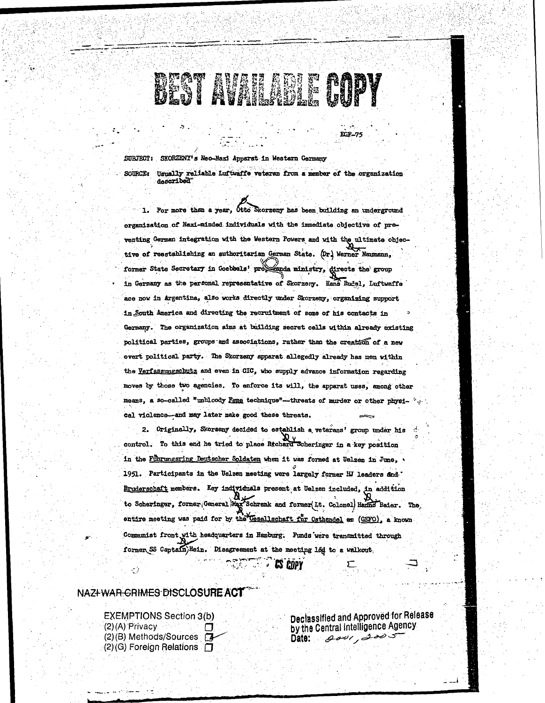## BEST AVAILABLE RADY

SUBJECT: SKORZENY's Neo-Nazi Apparat in Western Germany

SOURCE: Usually reliable Luftwaffe veteran from a member of the organization described

EGF-75

1. For more then a year, Otto Skorzeny has been building an underground organization of Nazi-minded individuals with the immediate objective of preventing German integration with the Western Powers and with the ultimate objective of reestablishing an authoritarian German State. (Dr.) Werner Nammann, former State Secretary in Goebels' properanda ministry, directs the group in Germany as the personal representative of Skorzeny. Hans Rudel, Luftwaffe ace now in Argentina, also works directly under Skorzeny, organizing support in South America and directing the recruitment of some of his contacts in Germany. The organization aims at building secret cells within already existing political parties, groups and associations, rather than the creation of a new overt political party. The Skorzeny apparat allegedly already has nen within the Verfassungschutz and even in CIC, who supply advance information regarding moves by those two agencies. To enforce its will, the apparat uses, among other means, a so-called "unbloody feme technique"-threats of murder or other physical violence-and may later make good these threats.

2. Originally, Skorsany decided to establish a veterans' group under his control. To this end he tried to place Richard Scheringer in a key position in the Fuhrungsring Deutscher Soldaten when it was formed at Uelzen in June, 1951. Participants in the Uelzen meeting were largely former HJ leaders and Bruderschaft members. Key individuals present at Uelzen included, in addition to Scheringer, former General Max Schrank and former (Lt. Colonel) Hamm Baier. The entire meeting was paid for by the <u>Gesellschaft for Osthandel</u> ex (CEFO), a known Communist front with headquarters in Hamburg. Funds were transmitted through former SS Captain, Hein. Disagreement at the meeting led to a walkout.

**CONTROL** COPY

## NAZI WAR GRIMES DISCLOSURE ACT

УĴ

**EXEMPTIONS Section 3(b)**  $(2)(A)$  Privacy  $(2)$ (B) Methods/Sources  $\sqrt{4}$  $(2)(G)$  Foreign Relations  $\Box$ 

Declassified and Approved for Release by the Central Intelligence Agency Date:  $\theta$ *ovi*, 2005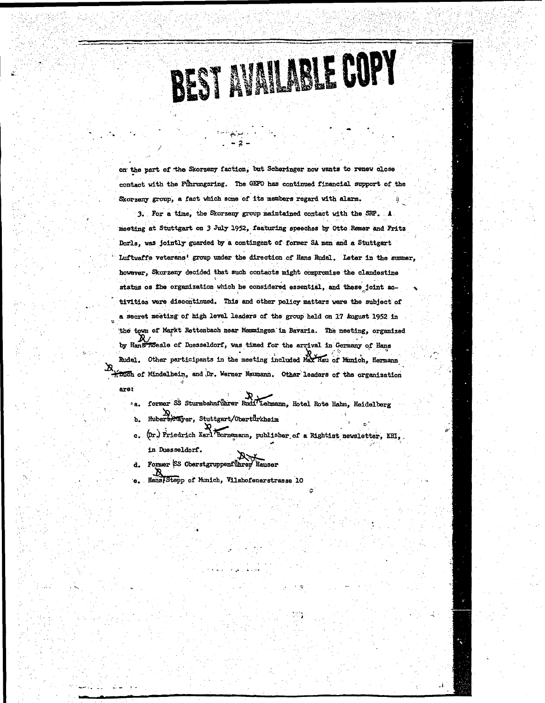## **BEST AVAILABLE COPY**

on the part of the Skorzeny faction, but Scheringer now wants to renew close contact with the Funrungsring. The GEFO has continued financial support of the Skorzeny group, a fact which some of its members regard with alarm.

3. For a time, the Skorzeny group maintained contact with the SRP. meeting at Stuttgart on 3 July 1952, featuring speeches by Otto Remer and Fritz Dorls, was jointly guarded by a contingent of former SA men and a Stuttgart Luftwaffe veterans' group under the direction of Hans Rudel. Leter in the summer, however, Skorzeny decided that such contacts might compromise the clandestine status os fhe organization which he considered essential, and these joint activities were discontinued. This and other policy matters were the subject of a secret meeting of high level leaders of the group held on 17 August 1952 in the town of Markt Rettenbach near Memmingen in Bavaria. The meeting, organized by Hans noesle of Duesseldorf, was timed for the arrival in Germany of Hans Rudel. Other participants in the meeting included Max Hau of Munich, Hermann Afflich of Mindelheim, and Dr. Werner Naumann. Other leaders of the organization are:

- former SS Sturmbahnführer Rudi Lehmann, Hotel Rote Hahn, Heidelberg  $^2$ a.
- Hubert Report Stuttgart/Obert drkheim ъ.
- c. (Dr.) Friedrich Karl Bornemann, publisher of a Rightist newsletter, KBI, in Duesseldorf.
- d. Former SS Oberstgruppenfuhrer Hauser
- Hans Stepp of Munich, Vilshofenerstrasse 10  $\bullet$ .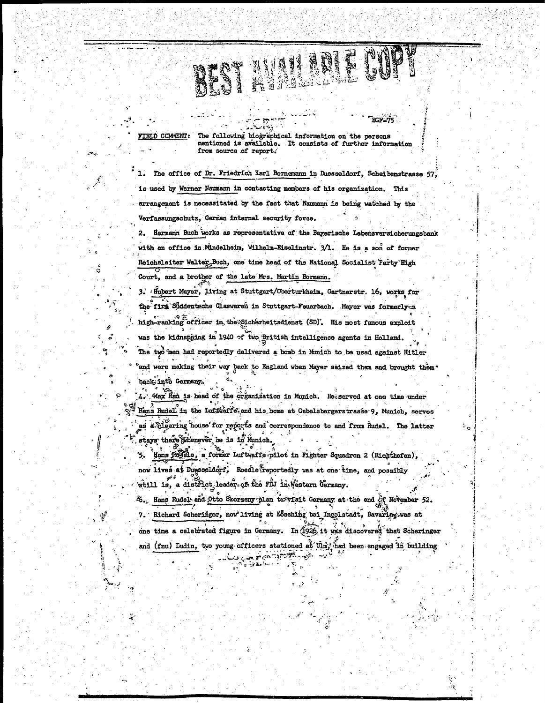FIELD COMMENT:

The following biographical information on the persons mentioned is available. It consists of further information from source of report.

EGF-75

The office of Dr. Friedrich Karl Bornemann in Duesseldorf, Scheibenstrasse 57. is used by Werner Naumann in contacting members of his organization. This arrangement is necessitated by the fact that Naumann is being watched by the Verfassungschutz, German internal security force. Hermann Buch works as representative of the Bayerische Lebensversicherungsbank with an office in Mindelheim, Wilhelm-Eiselinstr. 3/1. He is a son of former Reichsleiter Walter-Buch, one time head of the National Socialist Party High

ET NIVER

Court, and a brother of the late Mrs. Martin Bormann.

3. Hubert Mayer, living at Stuttgart/Oberturkheim, Gartnerstr. 16, works for the firm Suddentsche Glaswaren in Stuttgart-Feuerbach. Mayer was formerly=3 high-ranking officer in the Sicherheitsdienst (SD). His most famous exploit was the kidnapping in 1940 of two British intelligence agents in Holland. The two men had reportedly delivered a bomb in Munich to be used against Hitler and were making their way back to England when Mayer seized them and brought them. back into Germany.

4. Max Ram is head of the organization in Munich. He served at one time under Hans Rudel. in the Luftkaffe and his home at Gabelsbergerstrasse 9, Munich, serves as a closming house for reports and correspondence to and from Rudel. The latter stays there swenever he is in Munich.

5. Hans forside, a former Luftwaffe pilot in Fighter Squadron 2 (Richthofen), now lives at Buesseldorf. Roesle reportedly was at one time, and possibly still is, a district leader of the FDJ in Western Germany.

&. Hans Rudel and Otto Skorzeny plan to visit Germany at the end  $\frac{1}{k}$ ? November 52. 7. Richard Scheringer, now living at Kösching bei Ingglstadt, Bavariay was at one time a celebrated figure in Germany. In 1925, it was discovered that Scheringer and (fmu) Ludin, two young officers stationed at Ulmy had been engaged in building